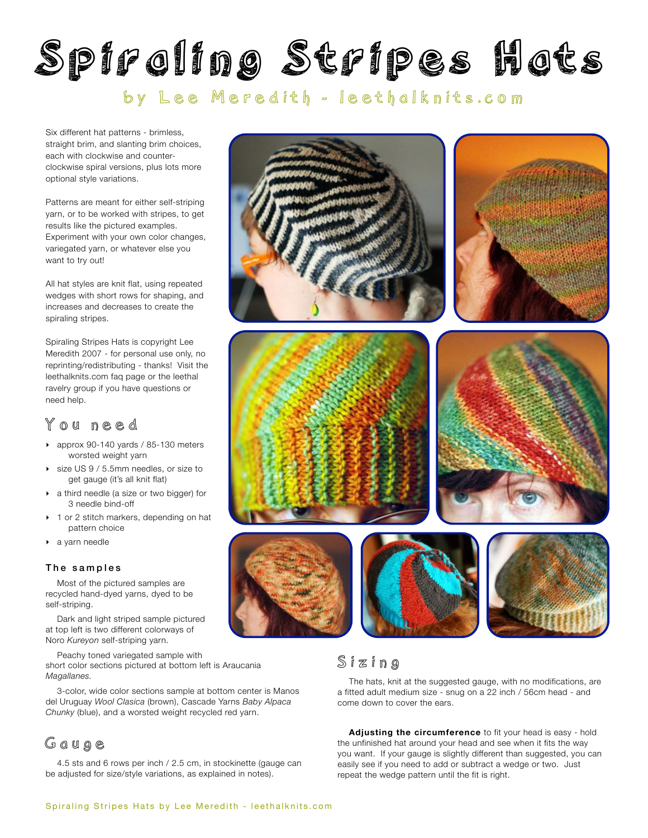# Spiraling Stripes Hats

# by Lee Meredith - [leethalknits.com](http://www.leethalknits.com)

Six different hat patterns - brimless, straight brim, and slanting brim choices, each with clockwise and counterclockwise spiral versions, plus lots more optional style variations.

Patterns are meant for either self-striping yarn, or to be worked with stripes, to get results like the pictured examples. Experiment with your own color changes, variegated yarn, or whatever else you want to try out!

All hat styles are knit flat, using repeated wedges with short rows for shaping, and increases and decreases to create the spiraling stripes.

Spiraling Stripes Hats is copyright Lee Meredith 2007 - for personal use only, no reprinting/redistributing - thanks! Visit the leethalknits.com [faq page](http://www.leethalknits.com/faq.html) or the leethal [ravelry group](http://www.ravelry.com/groups/leethal-knitters) if you have questions or need help.

# You need

- ‣ approx 90-140 yards / 85-130 meters worsted weight yarn
- size US 9 / 5.5mm needles, or size to get gauge (it's all knit flat)
- ‣ a third needle (a size or two bigger) for 3 needle bind-off
- ▶ 1 or 2 stitch markers, depending on hat pattern choice
- ‣ a yarn needle

### The samples

Most of the pictured samples are recycled hand-dyed yarns, dyed to be self-striping.

Dark and light striped sample pictured at top left is two different colorways of Noro *Kureyon* self-striping yarn.

Peachy toned variegated sample with short color sections pictured at bottom left is Araucania *Magallanes.*

3-color, wide color sections sample at bottom center is Manos del Uruguay *Wool Clasica* (brown), Cascade Yarns *Baby Alpaca Chunky* (blue), and a worsted weight recycled red yarn.

## Gauge

4.5 sts and 6 rows per inch / 2.5 cm, in stockinette (gauge can be adjusted for size/style variations, as explained in notes).



# Sizing

The hats, knit at the suggested gauge, with no modifications, are a fitted adult medium size - snug on a 22 inch / 56cm head - and come down to cover the ears.

**Adjusting the circumference** to fit your head is easy - hold the unfinished hat around your head and see when it fits the way you want. If your gauge is slightly different than suggested, you can easily see if you need to add or subtract a wedge or two. Just repeat the wedge pattern until the fit is right.